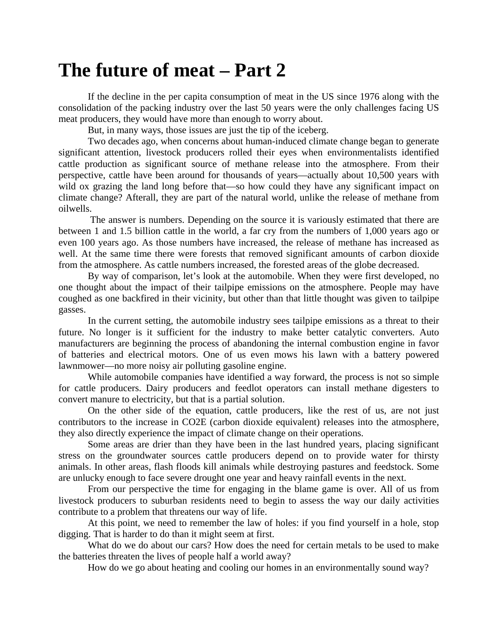## **The future of meat – Part 2**

If the decline in the per capita consumption of meat in the US since 1976 along with the consolidation of the packing industry over the last 50 years were the only challenges facing US meat producers, they would have more than enough to worry about.

But, in many ways, those issues are just the tip of the iceberg.

Two decades ago, when concerns about human-induced climate change began to generate significant attention, livestock producers rolled their eyes when environmentalists identified cattle production as significant source of methane release into the atmosphere. From their perspective, cattle have been around for thousands of years—actually about 10,500 years with wild ox grazing the land long before that—so how could they have any significant impact on climate change? Afterall, they are part of the natural world, unlike the release of methane from oilwells.

The answer is numbers. Depending on the source it is variously estimated that there are between 1 and 1.5 billion cattle in the world, a far cry from the numbers of 1,000 years ago or even 100 years ago. As those numbers have increased, the release of methane has increased as well. At the same time there were forests that removed significant amounts of carbon dioxide from the atmosphere. As cattle numbers increased, the forested areas of the globe decreased.

By way of comparison, let's look at the automobile. When they were first developed, no one thought about the impact of their tailpipe emissions on the atmosphere. People may have coughed as one backfired in their vicinity, but other than that little thought was given to tailpipe gasses.

In the current setting, the automobile industry sees tailpipe emissions as a threat to their future. No longer is it sufficient for the industry to make better catalytic converters. Auto manufacturers are beginning the process of abandoning the internal combustion engine in favor of batteries and electrical motors. One of us even mows his lawn with a battery powered lawnmower—no more noisy air polluting gasoline engine.

While automobile companies have identified a way forward, the process is not so simple for cattle producers. Dairy producers and feedlot operators can install methane digesters to convert manure to electricity, but that is a partial solution.

On the other side of the equation, cattle producers, like the rest of us, are not just contributors to the increase in CO2E (carbon dioxide equivalent) releases into the atmosphere, they also directly experience the impact of climate change on their operations.

Some areas are drier than they have been in the last hundred years, placing significant stress on the groundwater sources cattle producers depend on to provide water for thirsty animals. In other areas, flash floods kill animals while destroying pastures and feedstock. Some are unlucky enough to face severe drought one year and heavy rainfall events in the next.

From our perspective the time for engaging in the blame game is over. All of us from livestock producers to suburban residents need to begin to assess the way our daily activities contribute to a problem that threatens our way of life.

At this point, we need to remember the law of holes: if you find yourself in a hole, stop digging. That is harder to do than it might seem at first.

What do we do about our cars? How does the need for certain metals to be used to make the batteries threaten the lives of people half a world away?

How do we go about heating and cooling our homes in an environmentally sound way?